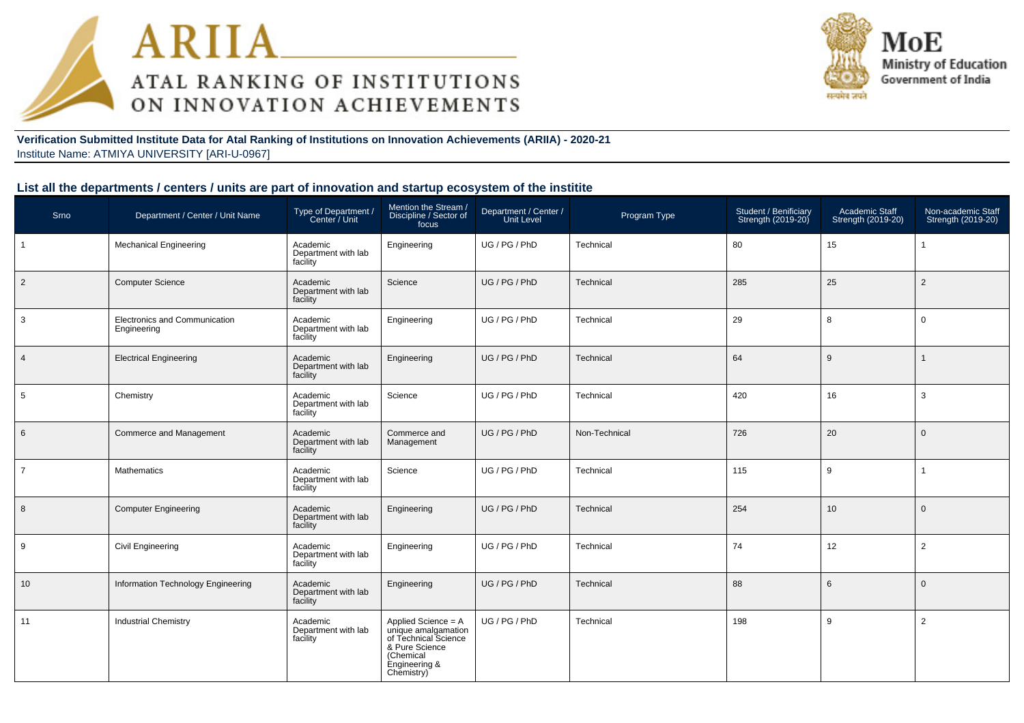



#### **Verification Submitted Institute Data for Atal Ranking of Institutions on Innovation Achievements (ARIIA) - 2020-21**Institute Name: ATMIYA UNIVERSITY [ARI-U-0967]

## **List all the departments / centers / units are part of innovation and startup ecosystem of the institite**

| Srno           | Department / Center / Unit Name              | Type of Department /<br>Center / Unit       | Mention the Stream /<br>Discipline / Sector of<br>focus                                                                          | Department / Center /<br><b>Unit Level</b> | Program Type  | Student / Benificiary<br>Strength (2019-20) | Academic Staff<br>Strength (2019-20) | Non-academic Staff<br>Strength (2019-20) |
|----------------|----------------------------------------------|---------------------------------------------|----------------------------------------------------------------------------------------------------------------------------------|--------------------------------------------|---------------|---------------------------------------------|--------------------------------------|------------------------------------------|
|                | <b>Mechanical Engineering</b>                | Academic<br>Department with lab<br>facility | Engineering                                                                                                                      | UG / PG / PhD                              | Technical     | 80                                          | 15                                   |                                          |
| $\overline{2}$ | <b>Computer Science</b>                      | Academic<br>Department with lab<br>facility | Science                                                                                                                          | UG / PG / PhD                              | Technical     | 285                                         | 25                                   | $\overline{2}$                           |
| 3              | Electronics and Communication<br>Engineering | Academic<br>Department with lab<br>facility | Engineering                                                                                                                      | UG / PG / PhD                              | Technical     | 29                                          | 8                                    | $\mathbf 0$                              |
| $\overline{4}$ | <b>Electrical Engineering</b>                | Academic<br>Department with lab<br>facility | Engineering                                                                                                                      | UG / PG / PhD                              | Technical     | 64                                          | 9                                    |                                          |
| 5              | Chemistry                                    | Academic<br>Department with lab<br>facility | Science                                                                                                                          | UG / PG / PhD                              | Technical     | 420                                         | 16                                   | 3                                        |
| 6              | Commerce and Management                      | Academic<br>Department with lab<br>facility | Commerce and<br>Management                                                                                                       | UG / PG / PhD                              | Non-Technical | 726                                         | 20                                   | $\mathbf{0}$                             |
| $\overline{7}$ | <b>Mathematics</b>                           | Academic<br>Department with lab<br>facility | Science                                                                                                                          | UG / PG / PhD                              | Technical     | 115                                         | 9                                    | $\mathbf 1$                              |
| 8              | <b>Computer Engineering</b>                  | Academic<br>Department with lab<br>facility | Engineering                                                                                                                      | UG/PG/PhD                                  | Technical     | 254                                         | 10                                   | $\mathbf 0$                              |
| 9              | <b>Civil Engineering</b>                     | Academic<br>Department with lab<br>facility | Engineering                                                                                                                      | UG / PG / PhD                              | Technical     | 74                                          | 12                                   | 2                                        |
| 10             | Information Technology Engineering           | Academic<br>Department with lab<br>facility | Engineering                                                                                                                      | UG / PG / PhD                              | Technical     | 88                                          | 6                                    | $\mathbf{0}$                             |
| 11             | <b>Industrial Chemistry</b>                  | Academic<br>Department with lab<br>facility | Applied Science = A<br>unique amalgamation<br>of Technical Science<br>& Pure Science<br>(Chemical<br>Engineering &<br>Chemistry) | UG / PG / PhD                              | Technical     | 198                                         | 9                                    | $\overline{2}$                           |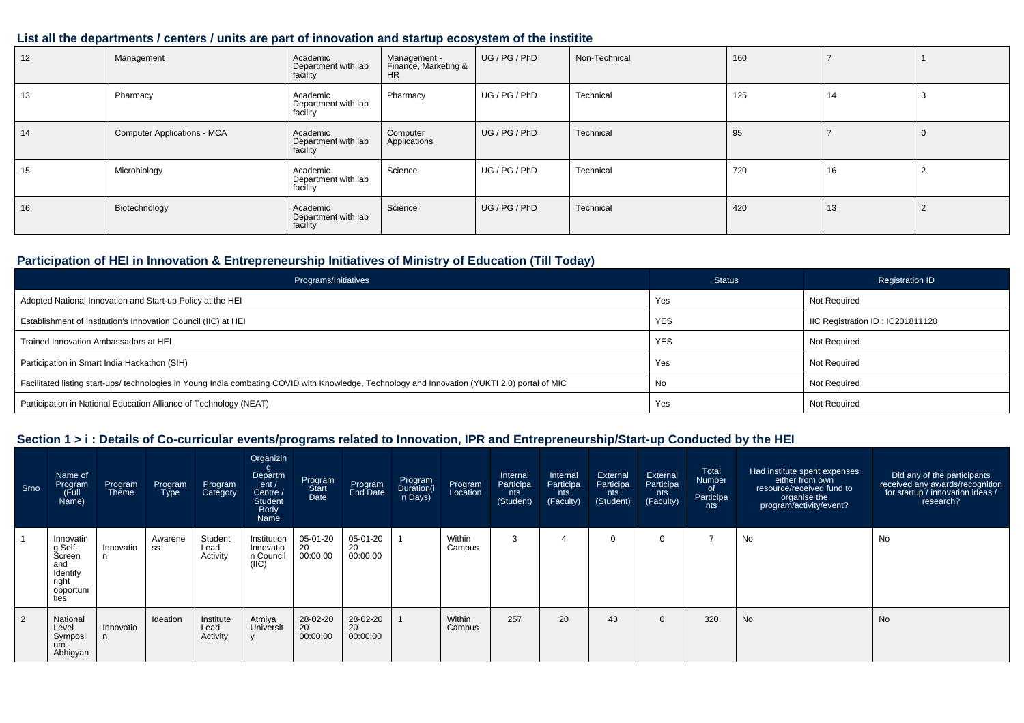## **List all the departments / centers / units are part of innovation and startup ecosystem of the institite**

| 12 | Management                         | Academic<br>Department with lab<br>facility | Management -<br>Finance, Marketing &<br><b>HR</b> | UG / PG / PhD | Non-Technical | 160 |    |  |
|----|------------------------------------|---------------------------------------------|---------------------------------------------------|---------------|---------------|-----|----|--|
| 13 | Pharmacy                           | Academic<br>Department with lab<br>facility | Pharmacy                                          | UG / PG / PhD | Technical     | 125 | 14 |  |
| 14 | <b>Computer Applications - MCA</b> | Academic<br>Department with lab<br>facility | Computer<br>Applications                          | UG/PG/PhD     | Technical     | 95  |    |  |
| 15 | Microbiology                       | Academic<br>Department with lab<br>facility | Science                                           | UG / PG / PhD | Technical     | 720 | 16 |  |
| 16 | Biotechnology                      | Academic<br>Department with lab<br>facility | Science                                           | UG/PG/PhD     | Technical     | 420 | 13 |  |

# **Participation of HEI in Innovation & Entrepreneurship Initiatives of Ministry of Education (Till Today)**

| Programs/Initiatives                                                                                                                           | <b>Status</b> | <b>Registration ID</b>           |
|------------------------------------------------------------------------------------------------------------------------------------------------|---------------|----------------------------------|
| Adopted National Innovation and Start-up Policy at the HEI                                                                                     | Yes           | <b>Not Required</b>              |
| Establishment of Institution's Innovation Council (IIC) at HEI                                                                                 | <b>YES</b>    | IIC Registration ID: IC201811120 |
| Trained Innovation Ambassadors at HEI                                                                                                          | <b>YES</b>    | Not Required                     |
| Participation in Smart India Hackathon (SIH)                                                                                                   | Yes           | <b>Not Required</b>              |
| Facilitated listing start-ups/ technologies in Young India combating COVID with Knowledge, Technology and Innovation (YUKTI 2.0) portal of MIC | No            | <b>Not Required</b>              |
| Participation in National Education Alliance of Technology (NEAT)                                                                              | Yes           | Not Required                     |

# **Section 1 > i : Details of Co-curricular events/programs related to Innovation, IPR and Entrepreneurship/Start-up Conducted by the HEI**

| Srno | Name of<br>Program<br>(Full<br>Name)                                            | Program<br><b>Theme</b> | Program<br><b>Type</b> | Program<br>Category           | Organizin<br>Departm<br>ent/<br>Centre /<br>Student<br>Body<br>Name | Program<br>Start<br>Date   | Program<br>End Date        | Program<br>Duration(i<br>n Days) | Program<br>Location | Internal<br>Participa<br>nts<br>(Student) | Internal<br>Participa<br>nts<br>(Faculty) | External<br>Participa<br>nts<br>(Student) | External<br>Participa<br>nts<br>(Faculty) | Total<br>Number<br>of<br>Participa<br>nts | Had institute spent expenses<br>either from own<br>resource/received fund to<br>organise the<br>program/activity/event? | Did any of the participants<br>received any awards/recognition<br>for startup / innovation ideas /<br>research? |
|------|---------------------------------------------------------------------------------|-------------------------|------------------------|-------------------------------|---------------------------------------------------------------------|----------------------------|----------------------------|----------------------------------|---------------------|-------------------------------------------|-------------------------------------------|-------------------------------------------|-------------------------------------------|-------------------------------------------|-------------------------------------------------------------------------------------------------------------------------|-----------------------------------------------------------------------------------------------------------------|
|      | Innovatin<br>g Self-<br>Screen<br>and<br>Identify<br>right<br>opportuni<br>ties | Innovatio               | Awarene<br>SS          | Student<br>Lead<br>Activity   | Institution<br>Innovatio<br>n Council<br>(IIC)                      | 05-01-20<br>20<br>00:00:00 | 05-01-20<br>20<br>00:00:00 |                                  | Within<br>Campus    | 3                                         |                                           |                                           | 0                                         | $\overline{ }$                            | No                                                                                                                      | No                                                                                                              |
| 2    | National<br>Level<br>Symposi<br>$um -$<br>Abhigyan                              | Innovatio               | Ideation               | Institute<br>Lead<br>Activity | Atmiya<br>Universit                                                 | 28-02-20<br>20<br>00:00:00 | 28-02-20<br>20<br>00:00:00 |                                  | Within<br>Campus    | 257                                       | 20                                        | 43                                        | $\mathbf{0}$                              | 320                                       | <b>No</b>                                                                                                               | No                                                                                                              |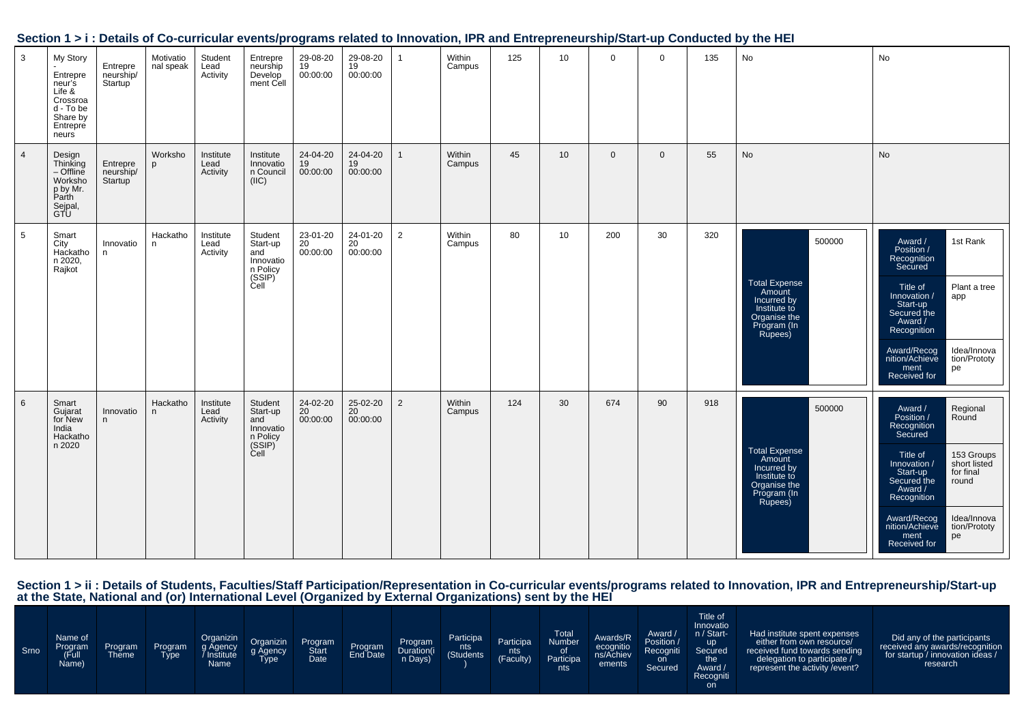|                 |                                                                                                    |                                  |                        |                               |                                                                                    |                                      |                            |                |                  |     |                 |             |              |     | Section 1 > 1 . Details of Co-curricular events/programs related to impovation, inn and Entrepreneurship/Start-up Conducted by the HET |                                                                                                                                                                                                                                                                                                         |
|-----------------|----------------------------------------------------------------------------------------------------|----------------------------------|------------------------|-------------------------------|------------------------------------------------------------------------------------|--------------------------------------|----------------------------|----------------|------------------|-----|-----------------|-------------|--------------|-----|----------------------------------------------------------------------------------------------------------------------------------------|---------------------------------------------------------------------------------------------------------------------------------------------------------------------------------------------------------------------------------------------------------------------------------------------------------|
| $\mathbf{3}$    | My Story<br>Entrepre<br>neur's<br>Life &<br>Crossroa<br>d - To be<br>Share by<br>Entrepre<br>neurs | Entrepre<br>neurship/<br>Startup | Motivatio<br>nal speak | Student<br>Lead<br>Activity   | Entrepre<br>neurship<br>Develop<br>ment Cell                                       | 29-08-20<br>19<br>00:00:00           | 29-08-20<br>19<br>00:00:00 | $\mathbf{1}$   | Within<br>Campus | 125 | 10              | $\mathbf 0$ | $\Omega$     | 135 | No                                                                                                                                     | No                                                                                                                                                                                                                                                                                                      |
| $\overline{4}$  | Design<br>Th <u>i</u> nking<br>– Offline<br>Worksho<br>p by Mr.<br>Parth<br>Sejpal,<br>GTU         | Entrepre<br>neurship/<br>Startup | Worksho<br>p           | Institute<br>Lead<br>Activity | Institute<br>Innovatio<br>n Council<br>(IIC)                                       | 24-04-20<br>$\frac{19}{19}$ 00:00:00 | 24-04-20<br>19<br>00:00:00 | $\mathbf{1}$   | Within<br>Campus | 45  | 10 <sup>1</sup> | $\mathbf 0$ | $\mathbf{0}$ | 55  | No                                                                                                                                     | No                                                                                                                                                                                                                                                                                                      |
| 5               | Smart<br>City<br>Hackatho<br>n 2020,<br>Rajkot                                                     | Innovatio<br>n                   | Hackatho<br>n.         | Institute<br>Lead<br>Activity | Student<br>Start-up<br>and<br>Innovatio<br>n Policy<br>(SSIP)<br>Cell              | 23-01-20<br>20<br>00:00:00           | 24-01-20<br>20<br>00:00:00 | $\overline{2}$ | Within<br>Campus | 80  | 10              | 200         | 30           | 320 | 500000<br><b>Total Expense</b><br>Amount<br>Incurred by<br>Institute to<br>Organise the<br>Program (In<br>Rupees)                      | 1st Rank<br>Award /<br>Position /<br>Recognition<br>Secured<br>Plant a tree<br>Title of<br>/ Innovation<br>app<br>Start-up<br>Secured the<br>Award /<br>Recognition<br>Idea/Innova<br>Award/Recog<br>nition/Achieve<br>tion/Prototy<br>ment<br>Received for<br>pe                                       |
| $6\phantom{.}6$ | Smart<br>Gujarat<br>for New<br>India<br>Hackatho<br>n 2020                                         | Innovatio<br>n                   | Hackatho<br>n.         | Institute<br>Lead<br>Activity | Student<br>Start-up<br>and<br>Innovatio<br>n Policy<br>(SSIP) <sup>2</sup><br>Cell | 24-02-20<br>20<br>00:00:00           | 25-02-20<br>20<br>00:00:00 | $\overline{2}$ | Within<br>Campus | 124 | 30              | 674         | 90           | 918 | 500000<br>Total Expense<br>Amount<br>Incurred by<br>Institute to<br>Organise the<br>Program (In<br>Rupees)                             | Regional<br>Round<br>Award /<br>Position /<br>Recognition<br>Secured<br>Title of<br>153 Groups<br>short listed<br>Innovation /<br>for final<br>Start-up<br>Secured the<br>round<br>Award /<br>Recognition<br>Idea/Innova<br>Award/Recog<br>nition/Achieve<br>tion/Prototy<br>ment<br>pe<br>Received for |

# **Section 1 > i : Details of Co-curricular events/programs related to Innovation, IPR and Entrepreneurship/Start-up Conducted by the HEI**

Section 1 > ii : Details of Students, Faculties/Staff Participation/Representation in Co-curricular events/programs related to Innovation, IPR and Entrepreneurship/Start-up<br>at the State, National and (or) International Lev

| Srno | Name of<br>Program<br>(Full<br>Name) | Program<br><b>Theme</b> | Program<br><b>Type</b> | Organizin<br>g Agency<br>Institute<br>Name | Organizin<br>g Agency<br>Type | Program<br>Start<br>Date | Program<br>End Date | Program<br>Duration(i<br>n Days) | Participa<br>nts<br>(Students <sup>1</sup> | Participa<br>nts<br>(Faculty) | <b>Total</b><br><b>Number</b><br>01<br>Participa<br><b>nts</b> | Awards/R<br>ecognitio<br>ns/Achiev<br>ements | Award /<br>Position /<br>Recogniti<br>on.<br>Secured | Title of<br>Innovatio<br>n / Start-<br>up !<br>Secured<br>the<br>Award /<br>Recogniti<br><b>on</b> | Had institute spent expenses<br>either from own resource/<br>received fund towards sending<br>delegation to participate /<br>represent the activity / event? | Did any of the participants<br>received any awards/recognition<br>for startup / innovation ideas /<br>research |
|------|--------------------------------------|-------------------------|------------------------|--------------------------------------------|-------------------------------|--------------------------|---------------------|----------------------------------|--------------------------------------------|-------------------------------|----------------------------------------------------------------|----------------------------------------------|------------------------------------------------------|----------------------------------------------------------------------------------------------------|--------------------------------------------------------------------------------------------------------------------------------------------------------------|----------------------------------------------------------------------------------------------------------------|
|------|--------------------------------------|-------------------------|------------------------|--------------------------------------------|-------------------------------|--------------------------|---------------------|----------------------------------|--------------------------------------------|-------------------------------|----------------------------------------------------------------|----------------------------------------------|------------------------------------------------------|----------------------------------------------------------------------------------------------------|--------------------------------------------------------------------------------------------------------------------------------------------------------------|----------------------------------------------------------------------------------------------------------------|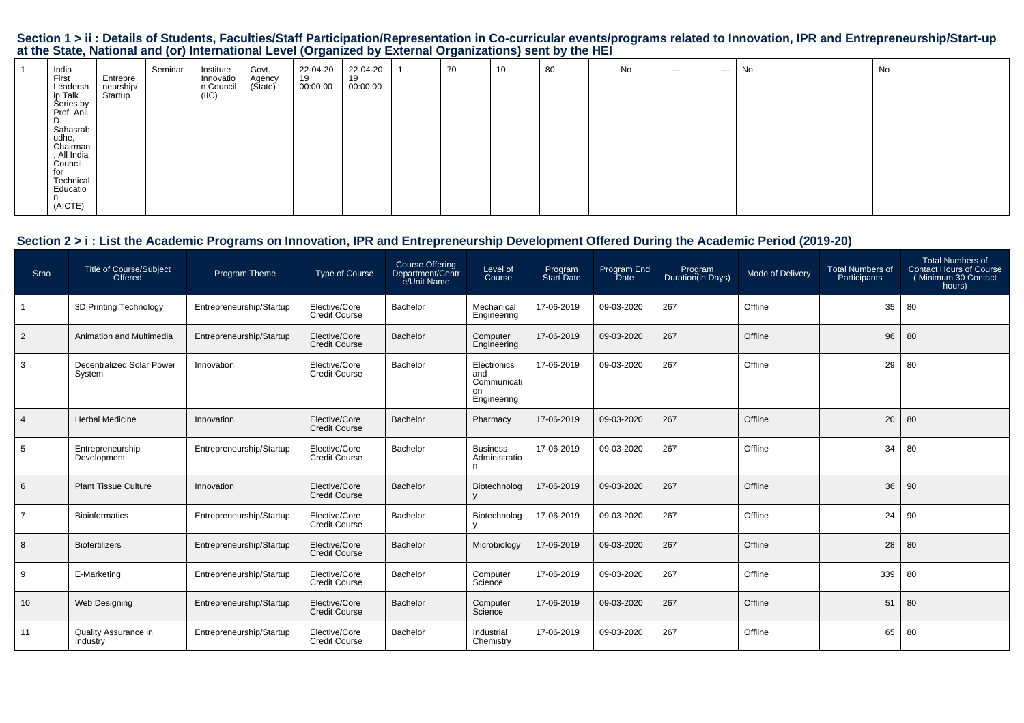# Section 1 > ii : Details of Students, Faculties/Staff Participation/Representation in Co-curricular events/programs related to Innovation, IPR and Entrepreneurship/Start-up<br>at the State, National and (or) International Lev

| India<br>First<br>Leadersh<br>ip Talk<br>Series by<br>Prof. Anil | Entrepre<br>neurship/<br>Startup | Seminar | Institute<br>Innovatio<br>n Council<br>(IIIC) | Govt.<br>Agency<br>(State) | 22-04-20<br>19<br>00:00:00 | 22-04-20<br>19<br>00:00:00 | 70 | 10 | 80 | No | $--$ | $--$ | No | No |
|------------------------------------------------------------------|----------------------------------|---------|-----------------------------------------------|----------------------------|----------------------------|----------------------------|----|----|----|----|------|------|----|----|
| υ.<br>Sahasrab<br>udhe,<br>Chairman<br>, All India<br>Council    |                                  |         |                                               |                            |                            |                            |    |    |    |    |      |      |    |    |
| for<br>Technical<br>Educatio<br>n<br>(AICTE)                     |                                  |         |                                               |                            |                            |                            |    |    |    |    |      |      |    |    |

# **Section 2 > i : List the Academic Programs on Innovation, IPR and Entrepreneurship Development Offered During the Academic Period (2019-20)**

| Srno           | <b>Title of Course/Subject</b><br>Offered  | Program Theme            | <b>Type of Course</b>                 | Course Offering<br>Department/Centr<br>e/Unit Name | Level of<br>Course                                     | Program<br><b>Start Date</b> | Program End<br>Date | Program<br>Duration(in Days) | Mode of Delivery | <b>Total Numbers of</b><br>Participants | <b>Total Numbers of</b><br><b>Contact Hours of Course</b><br>(Minimum 30 Contact<br>hours) |
|----------------|--------------------------------------------|--------------------------|---------------------------------------|----------------------------------------------------|--------------------------------------------------------|------------------------------|---------------------|------------------------------|------------------|-----------------------------------------|--------------------------------------------------------------------------------------------|
|                | 3D Printing Technology                     | Entrepreneurship/Startup | Elective/Core<br><b>Credit Course</b> | Bachelor                                           | Mechanical<br>Engineering                              | 17-06-2019                   | 09-03-2020          | 267                          | Offline          | 35                                      | 80                                                                                         |
| $\overline{2}$ | Animation and Multimedia                   | Entrepreneurship/Startup | Elective/Core<br><b>Credit Course</b> | Bachelor                                           | Computer<br>Engineering                                | 17-06-2019                   | 09-03-2020          | 267                          | Offline          | 96                                      | 80                                                                                         |
| 3              | <b>Decentralized Solar Power</b><br>System | Innovation               | Elective/Core<br>Credit Course        | Bachelor                                           | Electronics<br>and<br>Communicati<br>on<br>Engineering | 17-06-2019                   | 09-03-2020          | 267                          | Offline          | 29                                      | 80                                                                                         |
| $\overline{4}$ | <b>Herbal Medicine</b>                     | Innovation               | Elective/Core<br><b>Credit Course</b> | Bachelor                                           | Pharmacy                                               | 17-06-2019                   | 09-03-2020          | 267                          | Offline          | 20                                      | 80                                                                                         |
| 5              | Entrepreneurship<br>Development            | Entrepreneurship/Startup | Elective/Core<br><b>Credit Course</b> | Bachelor                                           | <b>Business</b><br>Administratio<br>n                  | 17-06-2019                   | 09-03-2020          | 267                          | Offline          | 34                                      | 80                                                                                         |
| 6              | <b>Plant Tissue Culture</b>                | Innovation               | Elective/Core<br><b>Credit Course</b> | <b>Bachelor</b>                                    | Biotechnolog                                           | 17-06-2019                   | 09-03-2020          | 267                          | Offline          | 36                                      | 90                                                                                         |
| $\overline{7}$ | <b>Bioinformatics</b>                      | Entrepreneurship/Startup | Elective/Core<br><b>Credit Course</b> | Bachelor                                           | Biotechnolog                                           | 17-06-2019                   | 09-03-2020          | 267                          | Offline          | 24                                      | 90                                                                                         |
| 8              | <b>Biofertilizers</b>                      | Entrepreneurship/Startup | Elective/Core<br><b>Credit Course</b> | Bachelor                                           | Microbiology                                           | 17-06-2019                   | 09-03-2020          | 267                          | Offline          | 28                                      | 80                                                                                         |
| 9              | E-Marketing                                | Entrepreneurship/Startup | Elective/Core<br><b>Credit Course</b> | Bachelor                                           | Computer<br>Science                                    | 17-06-2019                   | 09-03-2020          | 267                          | Offline          | 339                                     | 80                                                                                         |
| 10             | <b>Web Designing</b>                       | Entrepreneurship/Startup | Elective/Core<br><b>Credit Course</b> | Bachelor                                           | Computer<br>Science                                    | 17-06-2019                   | 09-03-2020          | 267                          | Offline          | 51                                      | 80                                                                                         |
| 11             | Quality Assurance in<br>Industry           | Entrepreneurship/Startup | Elective/Core<br><b>Credit Course</b> | Bachelor                                           | Industrial<br>Chemistry                                | 17-06-2019                   | 09-03-2020          | 267                          | Offline          | 65                                      | 80                                                                                         |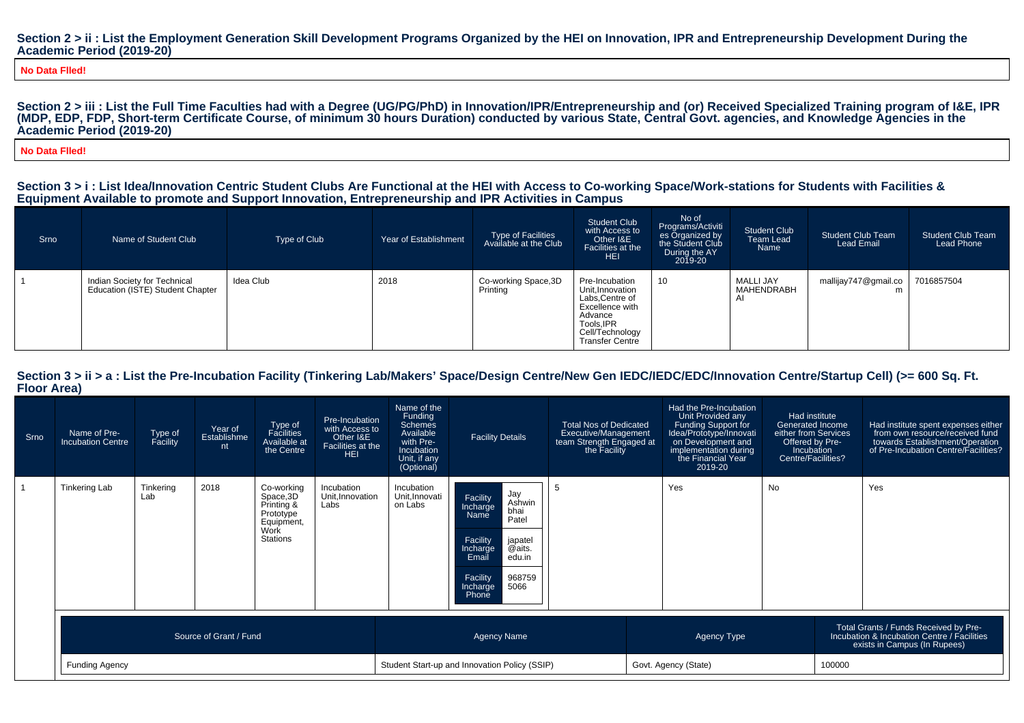#### Section 2 > ii : List the Employment Generation Skill Development Programs Organized by the HEI on Innovation, IPR and Entrepreneurship Development During the **Academic Period (2019-20)**

**No Data Flled!**

Section 2 > iii : List the Full Time Faculties had with a Degree (UG/PG/PhD) in Innovation/IPR/Entrepreneurship and (or) Received Specialized Training program of I&E, IPR **(MDP, EDP, FDP, Short-term Certificate Course, of minimum 30 hours Duration) conducted by various State, Central Govt. agencies, and Knowledge Agencies in theAcademic Period (2019-20)**

**No Data Flled!**

#### **Section 3 > i : List Idea/Innovation Centric Student Clubs Are Functional at the HEI with Access to Co-working Space/Work-stations for Students with Facilities &Equipment Available to promote and Support Innovation, Entrepreneurship and IPR Activities in Campus**

| Srno | Name of Student Club                                             | Type of Club | Year of Establishment | Type of Facilities<br>Available at the Club | <b>Student Club</b><br>with Access to<br>Other I&E<br>Facilities at the<br><b>HEI</b>                                                          | No of<br>Programs/Activiti<br>es Organized by<br>the Student Club<br>During the AY<br>2019-20 | <b>Student Club</b><br>Team Lead<br>Name | <b>Student Club Team</b><br>Lead Email | <b>Student Club Team</b><br>Lead Phone |
|------|------------------------------------------------------------------|--------------|-----------------------|---------------------------------------------|------------------------------------------------------------------------------------------------------------------------------------------------|-----------------------------------------------------------------------------------------------|------------------------------------------|----------------------------------------|----------------------------------------|
|      | Indian Society for Technical<br>Education (ISTE) Student Chapter | Idea Club    | 2018                  | Co-working Space, 3D<br>Printina            | Pre-Incubation<br>Unit, Innovation<br>Labs, Centre of<br>Excellence with<br>Advance<br>Tools, IPR<br>Cell/Technology<br><b>Transfer Centre</b> | 10                                                                                            | MALLI JAY<br>MAHENDRABH                  | mallijay747@gmail.co                   | 7016857504                             |

#### Section  $3 > i$  i > a : List the Pre-Incubation Facility (Tinkering Lab/Makers' Space/Design Centre/New Gen IEDC/IEDC/EDC/Innovation Centre/Startup Cell) (>= 600 Sq. Ft. **Floor Area)**

| Srno | Name of Pre-<br><b>Incubation Centre</b> | Type of<br>Facility | Year of<br>Establishme<br>nt | Type of<br>Facilities<br>Available at<br>the Centre                                  | Pre-Incubation<br>with Access to<br>Other I&E<br>Facilities at the<br><b>HEI</b> | Name of the<br>Funding<br><b>Schemes</b><br>Available<br>with Pre-<br><b>Incubation</b><br>Unit, if any<br>(Optional) | <b>Facility Details</b>                                                                                                                                                           | <b>Total Nos of Dedicated</b><br>Executive/Management<br>team Strength Engaged at<br>the Facility | Had the Pre-Incubation<br>Unit Provided any<br>Funding Support for<br>Idea/Prototype/Innovati<br>on Development and<br>implementation during<br>the Financial Year<br>2019-20 | Had institute<br>Generated Income<br>either from Services<br>Offered by Pre-<br>Incubation<br>Centre/Facilities? |                                                                                                                      | Had institute spent expenses either<br>from own resource/received fund<br>towards Establishment/Operation<br>of Pre-Incubation Centre/Facilities? |
|------|------------------------------------------|---------------------|------------------------------|--------------------------------------------------------------------------------------|----------------------------------------------------------------------------------|-----------------------------------------------------------------------------------------------------------------------|-----------------------------------------------------------------------------------------------------------------------------------------------------------------------------------|---------------------------------------------------------------------------------------------------|-------------------------------------------------------------------------------------------------------------------------------------------------------------------------------|------------------------------------------------------------------------------------------------------------------|----------------------------------------------------------------------------------------------------------------------|---------------------------------------------------------------------------------------------------------------------------------------------------|
|      | <b>Tinkering Lab</b>                     | Tinkering<br>Lab    | 2018                         | Co-working<br>Space, 3D<br>Printing &<br>Prototype<br>Equipment,<br>Work<br>Stations | Incubation<br>Unit, Innovation<br>Labs                                           | Incubation<br>Unit, Innovati<br>on Labs                                                                               | Jay<br>Ashwin<br>bhai<br>Facility<br>Incharge<br>Name<br>Patel<br>Facility<br>japatel<br>@aits.<br>Incharge<br>Email<br>edu.in<br>968759<br>Facility<br>5066<br>Incharge<br>Phone |                                                                                                   | Yes                                                                                                                                                                           | No                                                                                                               |                                                                                                                      | Yes                                                                                                                                               |
|      | Source of Grant / Fund                   |                     |                              |                                                                                      |                                                                                  |                                                                                                                       | <b>Agency Name</b>                                                                                                                                                                |                                                                                                   | Agency Type                                                                                                                                                                   |                                                                                                                  | Total Grants / Funds Received by Pre-<br>Incubation & Incubation Centre / Facilities<br>exists in Campus (In Rupees) |                                                                                                                                                   |
|      | <b>Funding Agency</b>                    |                     |                              |                                                                                      |                                                                                  |                                                                                                                       | Student Start-up and Innovation Policy (SSIP)                                                                                                                                     | Govt. Agency (State)                                                                              |                                                                                                                                                                               |                                                                                                                  | 100000                                                                                                               |                                                                                                                                                   |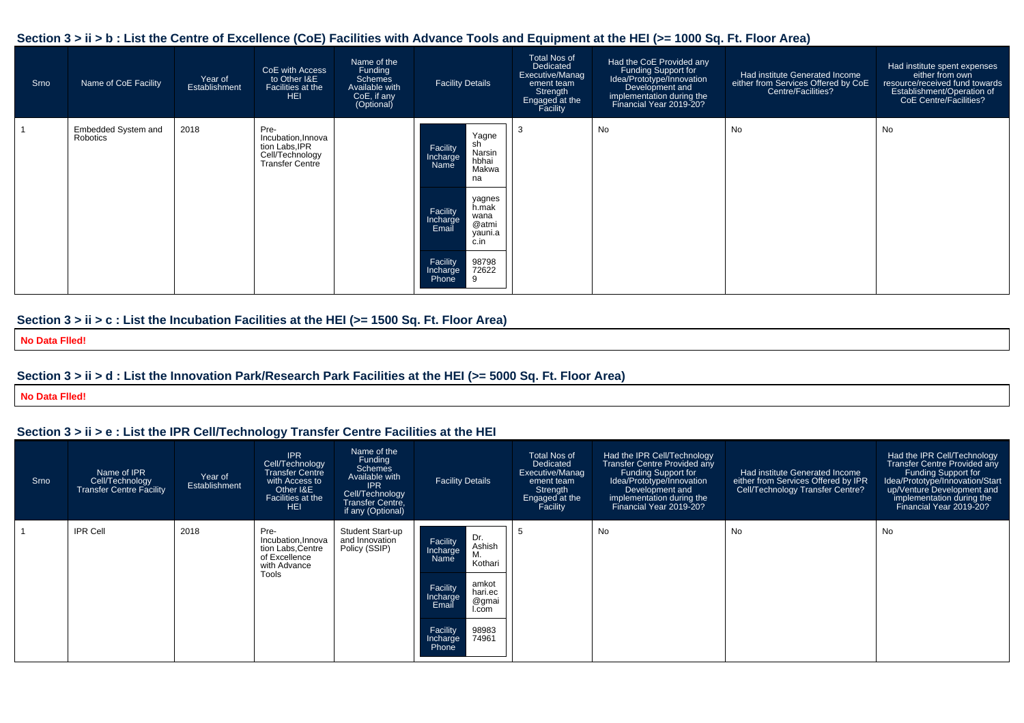#### **Section 3 > ii > b : List the Centre of Excellence (CoE) Facilities with Advance Tools and Equipment at the HEI (>= 1000 Sq. Ft. Floor Area)**

| Srno | Name of CoE Facility            | Year of<br>Establishment | CoE with Access<br>to Other I&E<br>Facilities at the<br><b>HEI</b>                        | Name of the<br>Funding<br><b>Schemes</b><br>Available with<br>CoE, if any<br>(Optional) | <b>Facility Details</b>                                                                                                                                                                                                       | <b>Total Nos of</b><br>Dedicated<br>Executive/Manag<br>ement team<br>Strength<br>Engaged at the<br>Facility | Had the CoE Provided any<br>Funding Support for<br>Idea/Prototype/Innovation<br>Development and<br>implementation during the<br>Financial Year 2019-20? | Had institute Generated Income<br>either from Services Offered by CoE<br>Centre/Facilities? | Had institute spent expenses<br>either from own<br>resource/received fund towards<br>Establishment/Operation of<br><b>CoE Centre/Facilities?</b> |
|------|---------------------------------|--------------------------|-------------------------------------------------------------------------------------------|-----------------------------------------------------------------------------------------|-------------------------------------------------------------------------------------------------------------------------------------------------------------------------------------------------------------------------------|-------------------------------------------------------------------------------------------------------------|---------------------------------------------------------------------------------------------------------------------------------------------------------|---------------------------------------------------------------------------------------------|--------------------------------------------------------------------------------------------------------------------------------------------------|
|      | Embedded System and<br>Robotics | 2018                     | Pre-<br>Incubation, Innova<br>tion Labs, IPR<br>Cell/Technology<br><b>Transfer Centre</b> |                                                                                         | Yagne<br>sh<br>Facility<br>Narsin<br>Incharge<br>Name<br>hbhai<br>Makwa<br>na<br>yagnes<br>h.mak<br>Facility<br>Incharge<br>wana<br>@atmi<br>Email<br>yauni.a<br>c.in<br>Facility<br>98798<br>72622<br>Incharge<br>Phone<br>9 | -3                                                                                                          | No                                                                                                                                                      | No                                                                                          | No                                                                                                                                               |

#### **Section 3 > ii > c : List the Incubation Facilities at the HEI (>= 1500 Sq. Ft. Floor Area)**

**No Data Flled!**

#### **Section 3 > ii > d : List the Innovation Park/Research Park Facilities at the HEI (>= 5000 Sq. Ft. Floor Area)**

**No Data Flled!**

# **Section 3 > ii > e : List the IPR Cell/Technology Transfer Centre Facilities at the HEI**

| Srno | Name of IPR<br>Cell/Technology<br><b>Transfer Centre Facility</b> | Year of<br>Establishment | <b>IPR</b><br>Cell/Technology<br><b>Transfer Centre</b><br>with Access to<br>Other I&E<br>Facilities at the<br><b>HEI</b> | Name of the<br>Funding<br><b>Schemes</b><br>Available with<br><b>IPR</b><br>Cell/Technology<br><b>Transfer Centre.</b><br>if any (Optional) | <b>Facility Details</b>                                             | Total Nos of<br>Dedicated<br><b>Executive/Manag</b><br>ement team<br>Strength<br>Engaged at the<br>Facility | Had the IPR Cell/Technology<br><b>Transfer Centre Provided any</b><br>Funding Support for<br>Idea/Prototype/Innovation<br>Development and<br>implementation during the<br>Financial Year 2019-20? | Had institute Generated Income<br>either from Services Offered by IPR<br>Cell/Technology Transfer Centre? | Had the IPR Cell/Technology<br><b>Transfer Centre Provided any</b><br>Funding Support for<br>Idea/Prototype/Innovation/Start<br>up/Venture Development and<br>implementation during the<br>Financial Year 2019-20? |
|------|-------------------------------------------------------------------|--------------------------|---------------------------------------------------------------------------------------------------------------------------|---------------------------------------------------------------------------------------------------------------------------------------------|---------------------------------------------------------------------|-------------------------------------------------------------------------------------------------------------|---------------------------------------------------------------------------------------------------------------------------------------------------------------------------------------------------|-----------------------------------------------------------------------------------------------------------|--------------------------------------------------------------------------------------------------------------------------------------------------------------------------------------------------------------------|
|      | <b>IPR Cell</b>                                                   | 2018                     | Pre-<br>Incubation, Innova<br>tion Labs, Centre<br>of Excellence<br>with Advance                                          | Student Start-up<br>and Innovation<br>Policy (SSIP)                                                                                         | Dr.<br>Facility<br>Ashish<br>Incharge<br>М.<br>Name<br>Kothari      |                                                                                                             | No                                                                                                                                                                                                | No                                                                                                        | No                                                                                                                                                                                                                 |
|      |                                                                   |                          | Tools                                                                                                                     |                                                                                                                                             | amkot<br>Facility<br>hari.ec<br>Incharge<br>@gmai<br>Email<br>I.com |                                                                                                             |                                                                                                                                                                                                   |                                                                                                           |                                                                                                                                                                                                                    |
|      |                                                                   |                          |                                                                                                                           |                                                                                                                                             | Facility<br>98983<br>74961<br>Incharge<br>Phone                     |                                                                                                             |                                                                                                                                                                                                   |                                                                                                           |                                                                                                                                                                                                                    |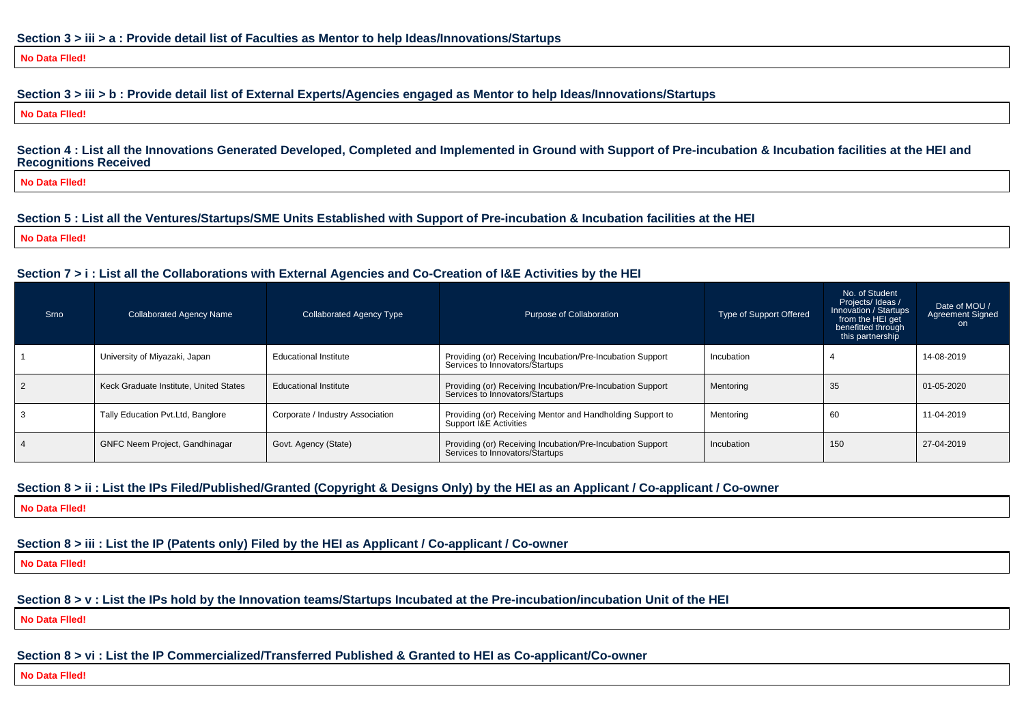#### **Section 3 > iii > a : Provide detail list of Faculties as Mentor to help Ideas/Innovations/Startups**

#### **No Data Flled!**

#### **Section 3 > iii > b : Provide detail list of External Experts/Agencies engaged as Mentor to help Ideas/Innovations/Startups**

**No Data Flled!**

#### **Section 4 : List all the Innovations Generated Developed, Completed and Implemented in Ground with Support of Pre-incubation & Incubation facilities at the HEI andRecognitions Received**

**No Data Flled!**

#### **Section 5 : List all the Ventures/Startups/SME Units Established with Support of Pre-incubation & Incubation facilities at the HEI**

**No Data Flled!**

#### **Section 7 > i : List all the Collaborations with External Agencies and Co-Creation of I&E Activities by the HEI**

| Srno | <b>Collaborated Agency Name</b>        | Collaborated Agency Type         | Purpose of Collaboration                                                                      | Type of Support Offered | No. of Student<br>Projects/ Ideas /<br>Innovation / Startups<br>from the HEI get<br>benefitted through<br>this partnership | Date of MOU /<br><b>Agreement Signed</b><br>on. |
|------|----------------------------------------|----------------------------------|-----------------------------------------------------------------------------------------------|-------------------------|----------------------------------------------------------------------------------------------------------------------------|-------------------------------------------------|
|      | University of Miyazaki, Japan          | <b>Educational Institute</b>     | Providing (or) Receiving Incubation/Pre-Incubation Support<br>Services to Innovators/Startups | Incubation              |                                                                                                                            | 14-08-2019                                      |
|      | Keck Graduate Institute, United States | <b>Educational Institute</b>     | Providing (or) Receiving Incubation/Pre-Incubation Support<br>Services to Innovators/Startups | Mentoring               | 35                                                                                                                         | 01-05-2020                                      |
|      | Tally Education Pvt.Ltd, Banglore      | Corporate / Industry Association | Providing (or) Receiving Mentor and Handholding Support to<br>Support I&E Activities          | Mentoring               | 60                                                                                                                         | 11-04-2019                                      |
|      | <b>GNFC Neem Project, Gandhinagar</b>  | Govt. Agency (State)             | Providing (or) Receiving Incubation/Pre-Incubation Support<br>Services to Innovators/Startups | Incubation              | 150                                                                                                                        | 27-04-2019                                      |

#### **Section 8 > ii : List the IPs Filed/Published/Granted (Copyright & Designs Only) by the HEI as an Applicant / Co-applicant / Co-owner**

**No Data Flled!**

**Section 8 > iii : List the IP (Patents only) Filed by the HEI as Applicant / Co-applicant / Co-owner**

**No Data Flled!**

**Section 8 > v : List the IPs hold by the Innovation teams/Startups Incubated at the Pre-incubation/incubation Unit of the HEI**

**No Data Flled!**

**Section 8 > vi : List the IP Commercialized/Transferred Published & Granted to HEI as Co-applicant/Co-owner**

**No Data Flled!**